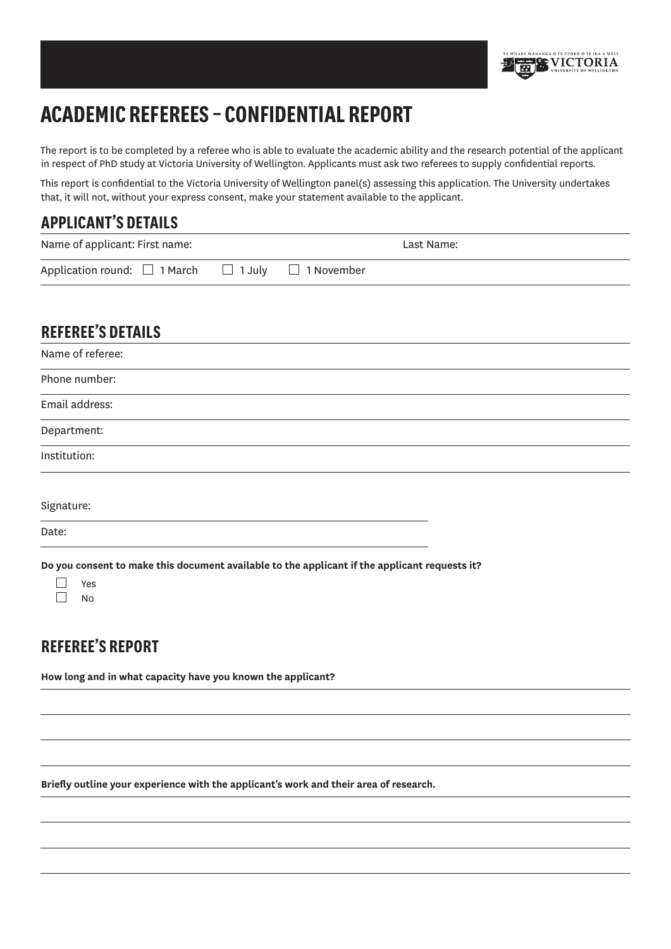

# **Academic Referees – Confidential Report**

The report is to be completed by a referee who is able to evaluate the academic ability and the research potential of the applicant in respect of PhD study at Victoria University of Wellington. Applicants must ask two referees to supply confidential reports.

This report is confidential to the Victoria University of Wellington panel(s) assessing this application. The University undertakes that, it will not, without your express consent, make your statement available to the applicant.

## **Applicant's details**

| Name of applicant: First name:                                    |  | Last Name: |
|-------------------------------------------------------------------|--|------------|
| Application round: $\Box$ 1 March $\Box$ 1 July $\Box$ 1 November |  |            |

# **Referee's details**

| Name of referee: |  |
|------------------|--|
| Phone number:    |  |
| Email address:   |  |
| Department:      |  |
| Institution:     |  |
| Signature:       |  |

Date:

**Do you consent to make this document available to the applicant if the applicant requests it?**

| c  |
|----|
| ٠, |

## **Referee's Report**

**How long and in what capacity have you known the applicant?**

**Briefly outline your experience with the applicant's work and their area of research.**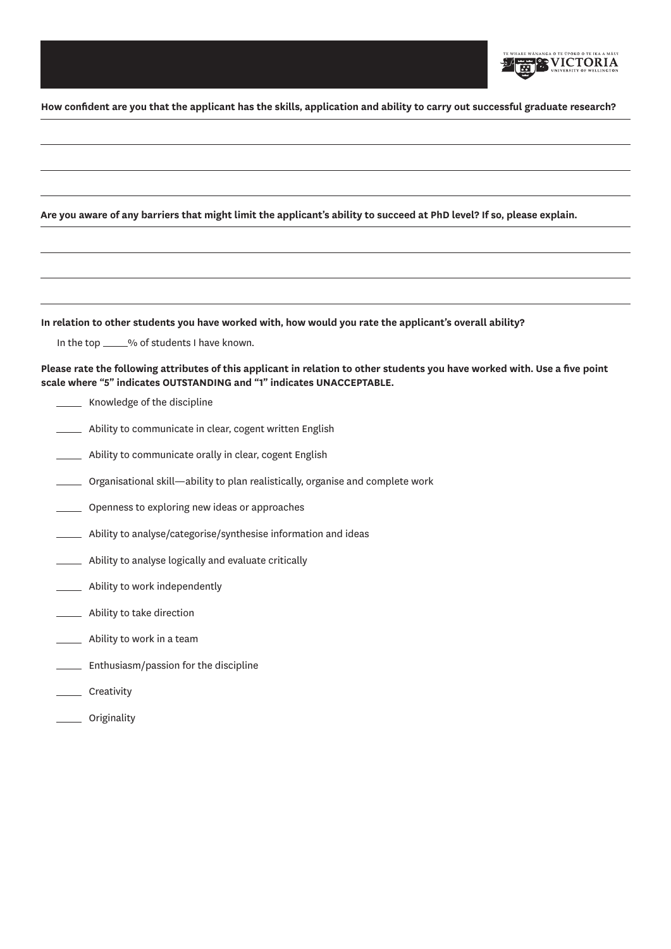

**How confident are you that the applicant has the skills, application and ability to carry out successful graduate research?**

|            | Are you aware of any barriers that might limit the applicant's ability to succeed at PhD level? If so, please explain.                                                                               |  |  |  |  |
|------------|------------------------------------------------------------------------------------------------------------------------------------------------------------------------------------------------------|--|--|--|--|
|            |                                                                                                                                                                                                      |  |  |  |  |
|            |                                                                                                                                                                                                      |  |  |  |  |
|            |                                                                                                                                                                                                      |  |  |  |  |
|            | In relation to other students you have worked with, how would you rate the applicant's overall ability?                                                                                              |  |  |  |  |
|            | In the top _____% of students I have known.                                                                                                                                                          |  |  |  |  |
|            | Please rate the following attributes of this applicant in relation to other students you have worked with. Use a five point<br>scale where "5" indicates OUTSTANDING and "1" indicates UNACCEPTABLE. |  |  |  |  |
|            | __ Knowledge of the discipline                                                                                                                                                                       |  |  |  |  |
|            | Ability to communicate in clear, cogent written English                                                                                                                                              |  |  |  |  |
|            | Ability to communicate orally in clear, cogent English                                                                                                                                               |  |  |  |  |
|            | Organisational skill-ability to plan realistically, organise and complete work                                                                                                                       |  |  |  |  |
| $\sim 100$ | Openness to exploring new ideas or approaches                                                                                                                                                        |  |  |  |  |
|            | Ability to analyse/categorise/synthesise information and ideas                                                                                                                                       |  |  |  |  |
|            | Ability to analyse logically and evaluate critically                                                                                                                                                 |  |  |  |  |
|            | Ability to work independently                                                                                                                                                                        |  |  |  |  |
|            | Ability to take direction                                                                                                                                                                            |  |  |  |  |
|            | _ Ability to work in a team                                                                                                                                                                          |  |  |  |  |
|            | Enthusiasm/passion for the discipline                                                                                                                                                                |  |  |  |  |
|            | Creativity                                                                                                                                                                                           |  |  |  |  |
|            | Originality                                                                                                                                                                                          |  |  |  |  |
|            |                                                                                                                                                                                                      |  |  |  |  |